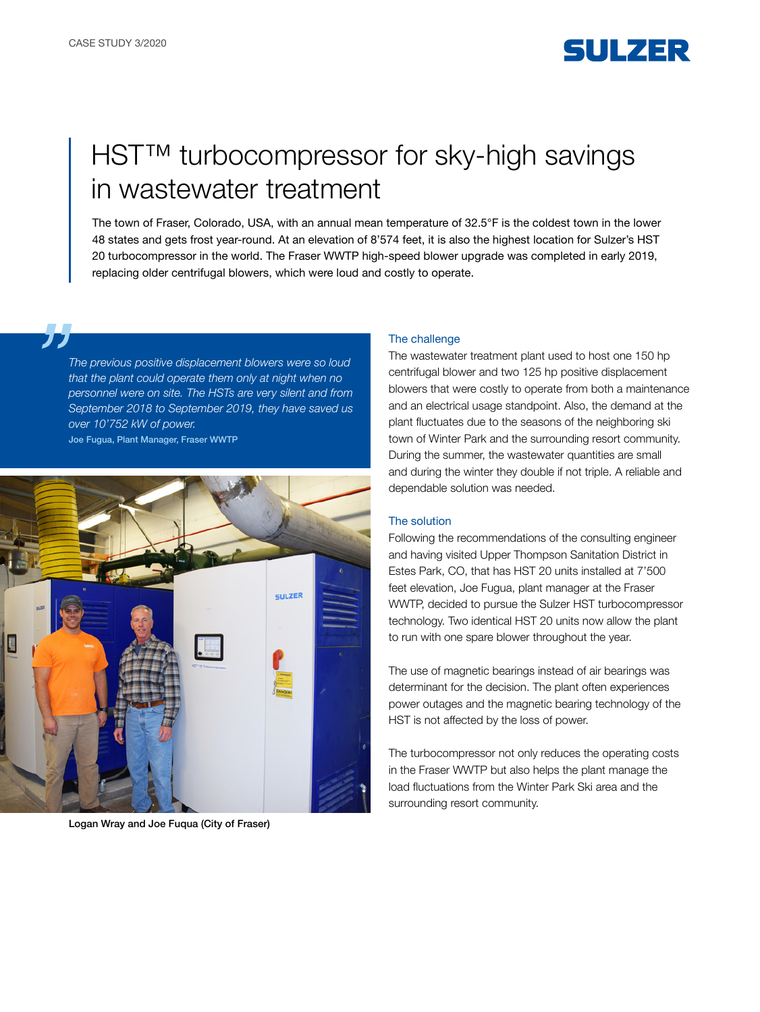

# HST™ turbocompressor for sky-high savings in wastewater treatment

The town of Fraser, Colorado, USA, with an annual mean temperature of 32.5°F is the coldest town in the lower 48 states and gets frost year-round. At an elevation of 8'574 feet, it is also the highest location for Sulzer's HST 20 turbocompressor in the world. The Fraser WWTP high-speed blower upgrade was completed in early 2019, replacing older centrifugal blowers, which were loud and costly to operate.

*The previous positive displacement blowers were so loud that the plant could operate them only at night when no personnel were on site. The HSTs are very silent and from September 2018 to September 2019, they have saved us over 10'752 kW of power.*  Joe Fugua, Plant Manager, Fraser WWTP



Logan Wray and Joe Fuqua (City of Fraser)

#### The challenge

The wastewater treatment plant used to host one 150 hp centrifugal blower and two 125 hp positive displacement blowers that were costly to operate from both a maintenance and an electrical usage standpoint. Also, the demand at the plant fluctuates due to the seasons of the neighboring ski town of Winter Park and the surrounding resort community. During the summer, the wastewater quantities are small and during the winter they double if not triple. A reliable and dependable solution was needed.

### The solution

Following the recommendations of the consulting engineer and having visited Upper Thompson Sanitation District in Estes Park, CO, that has HST 20 units installed at 7'500 feet elevation, Joe Fugua, plant manager at the Fraser WWTP, decided to pursue the Sulzer HST turbocompressor technology. Two identical HST 20 units now allow the plant to run with one spare blower throughout the year.

The use of magnetic bearings instead of air bearings was determinant for the decision. The plant often experiences power outages and the magnetic bearing technology of the HST is not affected by the loss of power.

The turbocompressor not only reduces the operating costs in the Fraser WWTP but also helps the plant manage the load fluctuations from the Winter Park Ski area and the surrounding resort community.